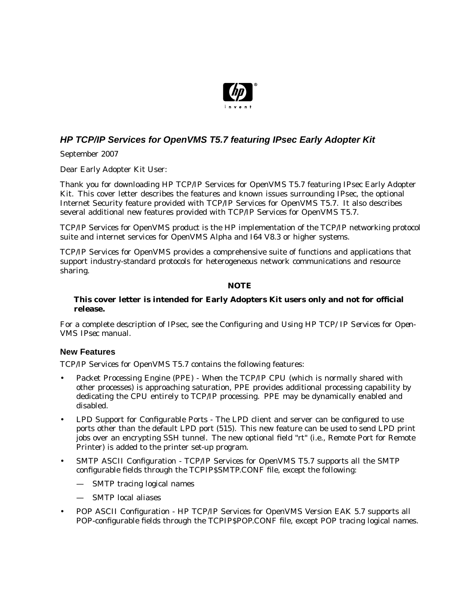

# **HP TCP/IP Services for OpenVMS T5.7 featuring IPsec Early Adopter Kit**

September 2007

Dear Early Adopter Kit User:

Thank you for downloading HP TCP/IP Services for OpenVMS T5.7 featuring IPsec Early Adopter Kit. This cover letter describes the features and known issues surrounding IPsec, the optional Internet Security feature provided with TCP/IP Services for OpenVMS T5.7. It also describes several additional new features provided with TCP/IP Services for OpenVMS T5.7.

TCP/IP Services for OpenVMS product is the HP implementation of the TCP/IP networking protocol suite and internet services for OpenVMS Alpha and I64 V8.3 or higher systems.

TCP/IP Services for OpenVMS provides a comprehensive suite of functions and applications that support industry-standard protocols for heterogeneous network communications and resource sharing.

#### **NOTE**

#### **This cover letter is intended for Early Adopters Kit users only and not for official release.**

For a complete description of IPsec, see the *Configuring and Using HP TCP/IP Services for Open-VMS IPsec* manual.

### **New Features**

TCP/IP Services for OpenVMS T5.7 contains the following features:

- Packet Processing Engine (PPE) When the TCP/IP CPU (which is normally shared with other processes) is approaching saturation, PPE provides additional processing capability by dedicating the CPU entirely to TCP/IP processing. PPE may be dynamically enabled and disabled.
- LPD Support for Configurable Ports The LPD client and server can be configured to use ports other than the default LPD port (515). This new feature can be used to send LPD print jobs over an encrypting SSH tunnel. The new optional field "rt" (i.e., Remote Port for Remote Printer) is added to the printer set-up program.
- SMTP ASCII Configuration TCP/IP Services for OpenVMS T5.7 supports all the SMTP configurable fields through the TCPIP\$SMTP.CONF file, except the following:
	- SMTP tracing logical names
	- SMTP local aliases
- POP ASCII Configuration HP TCP/IP Services for OpenVMS Version EAK 5.7 supports all POP-configurable fields through the TCPIP\$POP.CONF file, except POP tracing logical names.